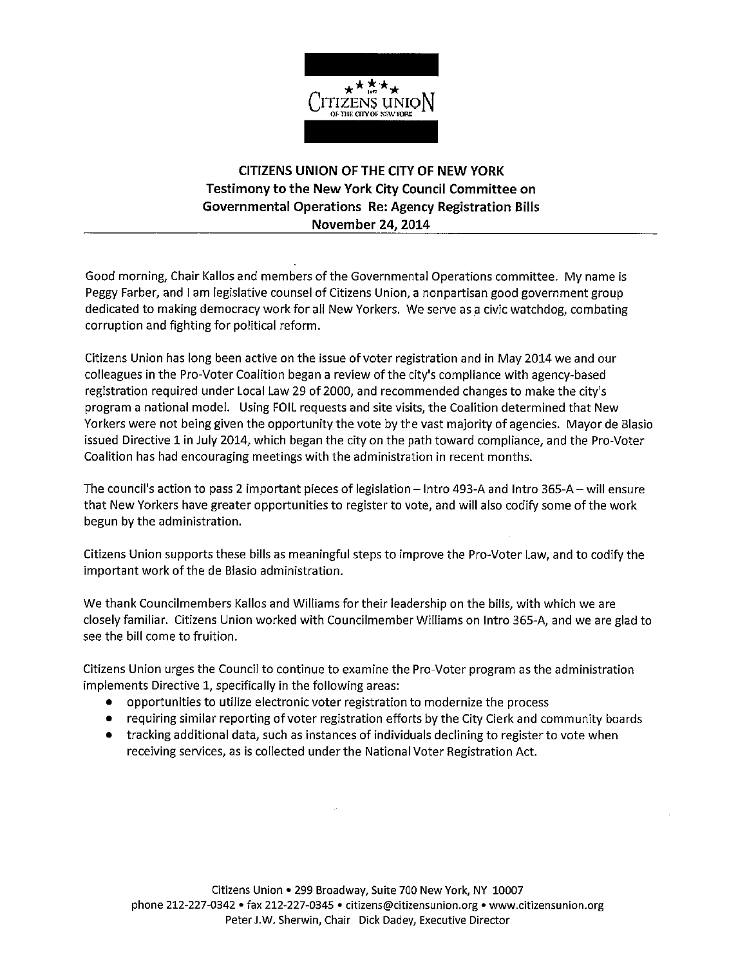

### **CITIZENS UNION OF THE CITY OF NEW YORK Testimony to the New York City Council Committee on Governmental Operations Re: Agency Registration Bills November 24, 2014**

Good morning, Chair Kallos and members of the Governmental Operations committee. My name is Peggy Farber, and I am legislative counsel of Citizens Union, a nonpartisan good government group dedicated to making democracy work for all New Yorkers. We serve as a civic watchdog, combating corruption and fighting for political reform.

Citizens Union has long been active on the issue of voter registration and in May 2014 we and our colleagues in the Pro-Voter Coalition began a review of the city's compliance with agency-based registration required under Local Law 29 of 2000, and recommended changes to make the city's program a national model. Using FOIL requests and site visits, the Coalition determined that New Yorkers were not being given the opportunity the vote by the vast majority of agencies. Mayor de Blasio issued Directive 1 in July 2014, which began the city on the path toward compliance, and the Pro-Voter Coalition has had encouraging meetings with the administration in recent months.

The council's action to pass 2 important pieces of legislation - Intro 493-A and Intro 365-A - will ensure that New Yorkers have greater opportunities to register to vote, and will also codify some of the work begun by the administration.

Citizens Union supports these bills as meaningful steps to improve the Pro-Voter Law, and to codify the important work of the de Blasio administration.

We thank Councilmembers Kallos and Williams for their leadership on the bills, with which we are closely familiar. Citizens Union worked with Councilmember Williams on Intro 365-A, and we are glad to see the bill come to fruition.

Citizens Union urges the Council to continue to examine the Pro-Voter program as the administration implements Directive 1, specifically in the following areas:

- opportunities to utilize electronic voter registration to modernize the process
- requiring similar reporting of voter registration efforts by the City Clerk and community boards
- tracking additional data, such as instances of individuals declining to register to vote when receiving services, as is collected under the National Voter Registration Act.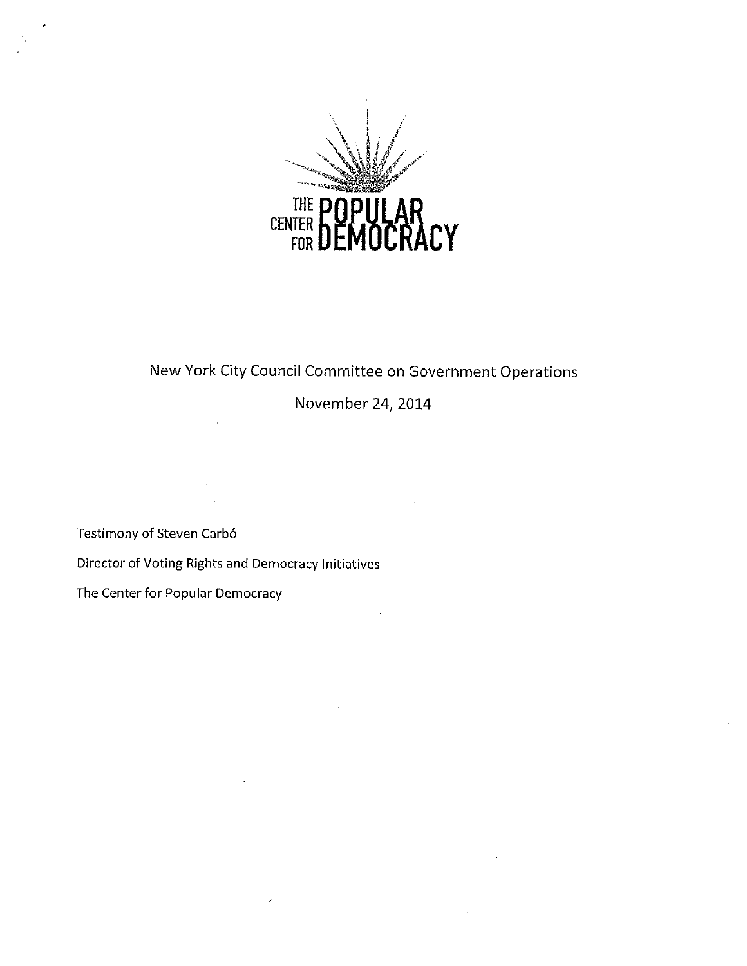

# New York City Council Committee on Government Operations

## November 24, 2014

Testimony of Steven Carbó

Director of Voting Rights and Democracy Initiatives

The Center for Popular Democracy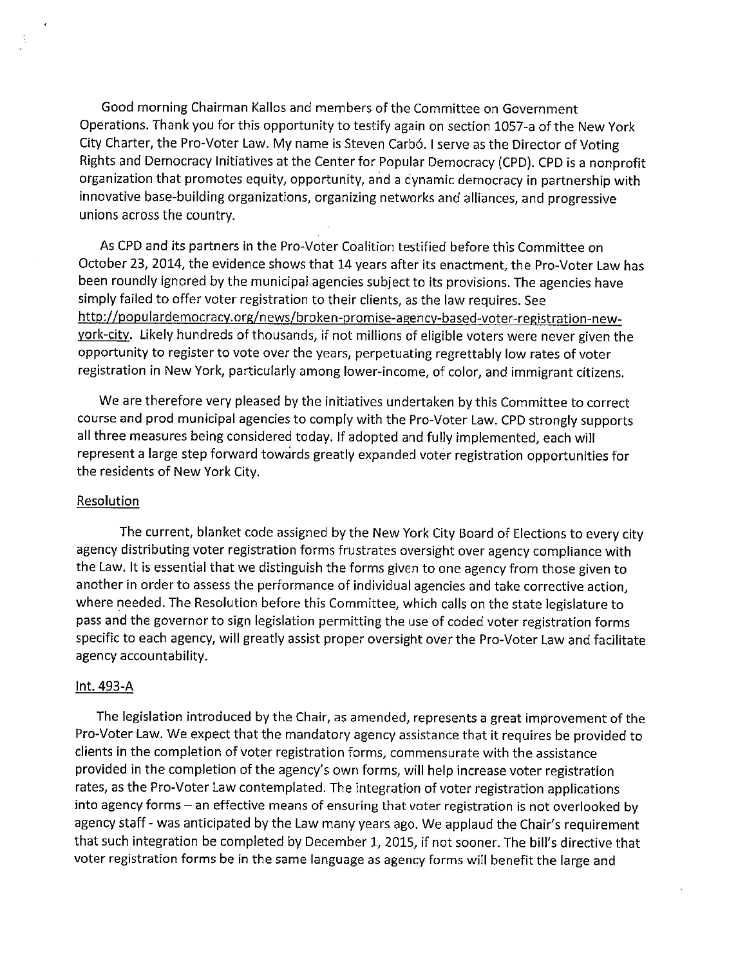Good morning Chairman Kallos and members of the Committee on Government Operations. Thank you for this opportunity to testify again on section 1057-a of the New York City Charter, the Pro-Voter Law. My name is Steven Carbó. I serve as the Director of Voting Rights and Democracy Initiatives at the Center for Popular Democracy (CPD). CPD is a nonprofit organization that promotes equity, opportunity, and a dynamic democracy in partnership with innovative base-building organizations, organizing networks and alliances, and progressive unions across the country.

As CPD and its partners in the Pro-Voter Coalition testified before this Committee on October 23, 2014, the evidence shows that 14 years after its enactment, the Pro-Voter Law has been roundly ignored by the municipal agencies subject to its provisions. The agencies have simply failed to offer voter registration to their clients, as the law requires. See http://populardemocracy.org/news/broken-promise-agency-based-voter-registration-newyork-city. Likely hundreds of thousands, if not millions of eligible voters were never given the opportunity to register to vote over the years, perpetuating regrettably low rates of voter registration in New York, particularly among lower-income, of color, and immigrant citizens.

We are therefore very pleased by the initiatives undertaken by this Committee to correct course and prod municipal agencies to comply with the Pro-Voter Law. CPD strongly supports all three measures being considered today. If adopted and fully implemented, each will represent a large step forward towards greatly expanded voter registration opportunities for the residents of New York City.

#### Resolution

The current, blanket code assigned by the New York City Board of Elections to every city agency distributing voter registration forms frustrates oversight over agency compliance with the Law. It is essential that we distinguish the forms given to one agency from those given to another in order to assess the performance of individual agencies and take corrective action, where needed. The Resolution before this Committee, which calls on the state legislature to pass and the governor to sign legislation permitting the use of coded voter registration forms specific to each agency, will greatly assist proper oversight over the Pro-Voter Law and facilitate agency accountability.

#### Int. 493-A

The legislation introduced by the Chair, as amended, represents a great improvement of the Pro-Voter Law. We expect that the mandatory agency assistance that it requires be provided to clients in the completion of voter registration forms, commensurate with the assistance provided in the completion of the agency's own forms, will help increase voter registration rates, as the Pro-Voter Law contemplated. The integration of voter registration applications into agency forms - an effective means of ensuring that voter registration is not overlooked by agency staff - was anticipated by the Law many years ago. We applaud the Chair's requirement that such integration be completed by December 1, 2015, if not sooner. The bill's directive that voter registration forms be in the same language as agency forms will benefit the large and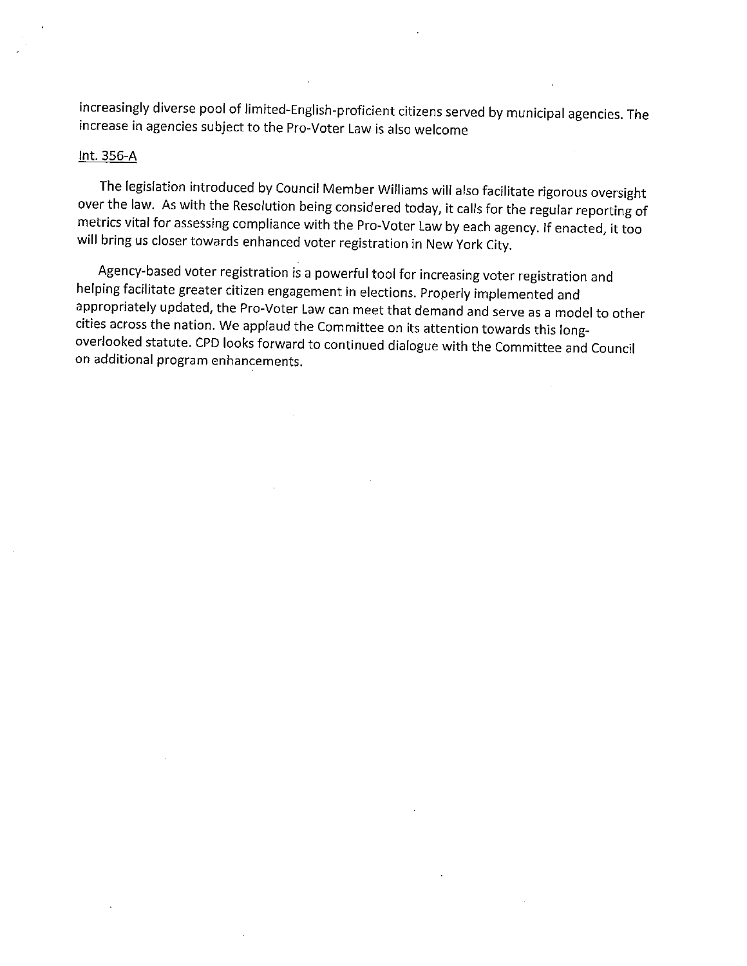increasingly diverse pool of limited-English-proficient citizens served by municipal agencies. The increase in agencies subject to the Pro-Voter Law is also welcome

#### Int. 356-A

The legislation introduced by Council Member Williams will also facilitate rigorous oversight over the law. As with the Resolution being considered today, it calls for the regular reporting of metrics vital for assessing compliance with the Pro-Voter Law by each agency. If enacted, it too will bring us closer towards enhanced voter registration in New York City.

Agency-based voter registration is a powerful tool for increasing voter registration and helping facilitate greater citizen engagement in elections. Properly implemented and appropriately updated, the Pro-Voter Law can meet that demand and serve as a model to other cities across the nation. We applaud the Committee on its attention towards this longoverlooked statute. CPD looks forward to continued dialogue with the Committee and Council on additional program enhancements.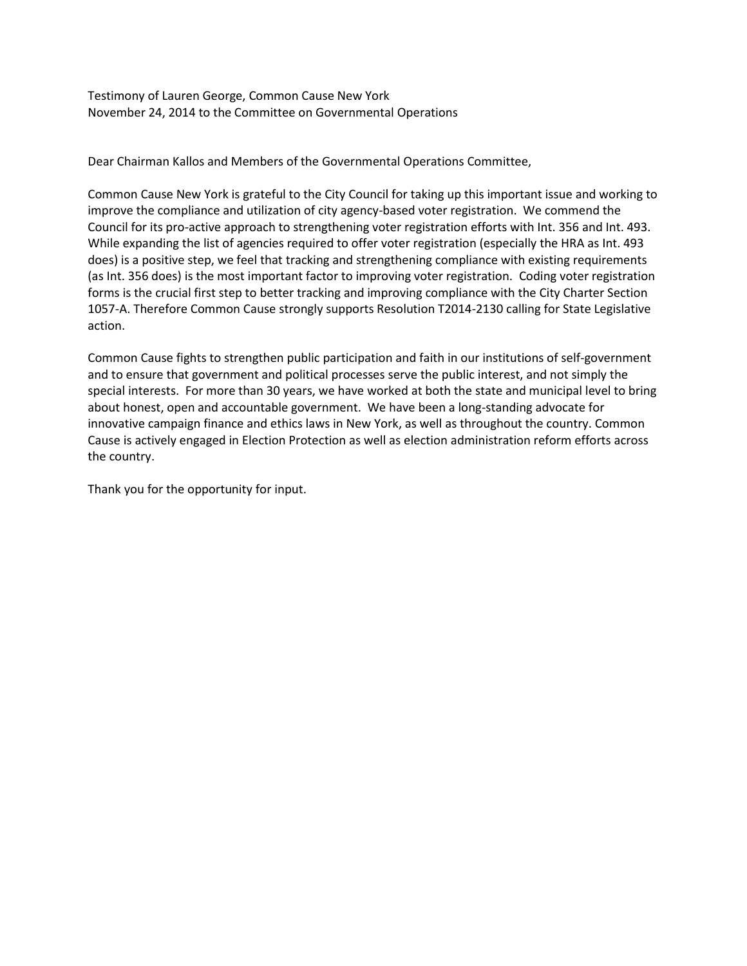Testimony of Lauren George, Common Cause New York November 24, 2014 to the Committee on Governmental Operations

Dear Chairman Kallos and Members of the Governmental Operations Committee,

Common Cause New York is grateful to the City Council for taking up this important issue and working to improve the compliance and utilization of city agency-based voter registration. We commend the Council for its pro-active approach to strengthening voter registration efforts with Int. 356 and Int. 493. While expanding the list of agencies required to offer voter registration (especially the HRA as Int. 493 does) is a positive step, we feel that tracking and strengthening compliance with existing requirements (as Int. 356 does) is the most important factor to improving voter registration. Coding voter registration forms is the crucial first step to better tracking and improving compliance with the City Charter Section 1057-A. Therefore Common Cause strongly supports Resolution T2014-2130 calling for State Legislative action.

Common Cause fights to strengthen public participation and faith in our institutions of self-government and to ensure that government and political processes serve the public interest, and not simply the special interests. For more than 30 years, we have worked at both the state and municipal level to bring about honest, open and accountable government. We have been a long-standing advocate for innovative campaign finance and ethics laws in New York, as well as throughout the country. Common Cause is actively engaged in Election Protection as well as election administration reform efforts across the country.

Thank you for the opportunity for input.